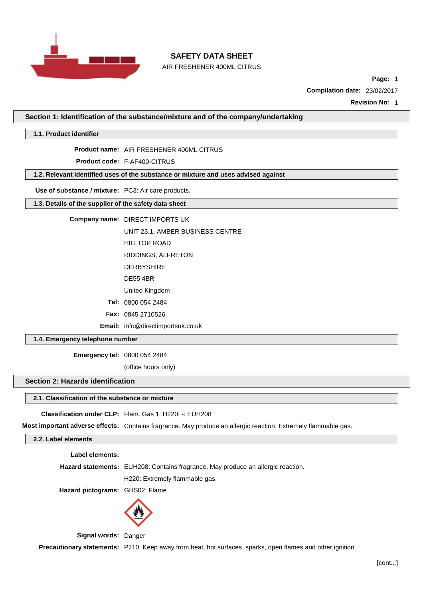

AIR FRESHENER 400ML CITRUS

**Page:** 1

**Compilation date:** 23/02/2017

**Revision No:** 1

**Section 1: Identification of the substance/mixture and of the company/undertaking**

**1.1. Product identifier**

**Product name:** AIR FRESHENER 400ML CITRUS

**Product code:** F-AF400-CITRUS

**1.2. Relevant identified uses of the substance or mixture and uses advised against**

**Use of substance / mixture:** PC3: Air care products.

**1.3. Details of the supplier of the safety data sheet**

**Company name:** DIRECT IMPORTS UK

UNIT 23.1, AMBER BUSINESS CENTRE

HILLTOP ROAD

RIDDINGS, ALFRETON

- DERBYSHIRE
- DE55 4BR

United Kingdom

**Tel:** 0800 054 2484

**Fax:** 0845 2710526

**Email:** [info@directimportsuk.co.uk](mailto:info@directimportsuk.co.uk)

**1.4. Emergency telephone number**

**Emergency tel:** 0800 054 2484

(office hours only)

### **Section 2: Hazards identification**

#### **2.1. Classification of the substance or mixture**

**Classification under CLP:** Flam. Gas 1: H220; -: EUH208

**Most important adverse effects:** Contains fragrance. May produce an allergic reaction. Extremely flammable gas.

## **2.2. Label elements**

**Label elements:**

**Hazard statements:** EUH208: Contains fragrance. May produce an allergic reaction.

H220: Extremely flammable gas.

**Hazard pictograms:** GHS02: Flame



**Signal words:** Danger

**Precautionary statements:** P210: Keep away from heat, hot surfaces, sparks, open flames and other ignition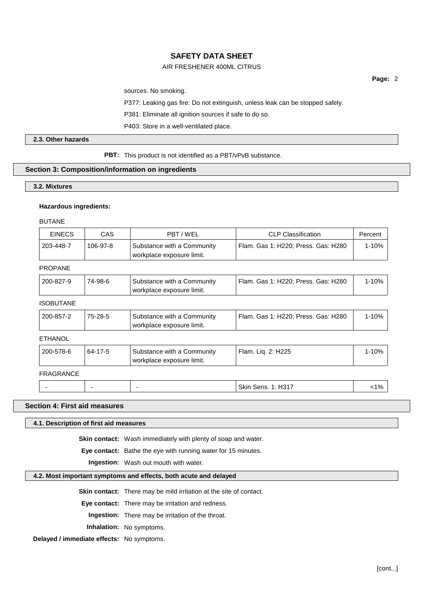## AIR FRESHENER 400ML CITRUS

sources. No smoking.

P377: Leaking gas fire: Do not extinguish, unless leak can be stopped safely.

P381: Eliminate all ignition sources if safe to do so.

P403: Store in a well-ventilated place.

## **2.3. Other hazards**

**PBT:** This product is not identified as a PBT/vPvB substance.

#### **Section 3: Composition/information on ingredients**

#### **3.2. Mixtures**

#### **Hazardous ingredients:**

BUTANE

| <b>EINECS</b> | CAS      | PBT/WEL                                                 | CLP Classification                  | Percent |
|---------------|----------|---------------------------------------------------------|-------------------------------------|---------|
| 203-448-7     | 106-97-8 | Substance with a Community<br>workplace exposure limit. | Flam. Gas 1: H220; Press. Gas: H280 | 1-10%   |

## PROPANE

| Flam. Gas 1: H220: Press. Gas: H280<br>1-10%<br>200-827-9<br>74-98-6<br>Substance with a Community |  | workplace exposure limit. |  |
|----------------------------------------------------------------------------------------------------|--|---------------------------|--|
|                                                                                                    |  |                           |  |

## ISOBUTANE

| 200-857-2 | 75-28-5 | Substance with a Community<br>workplace exposure limit. | Flam. Gas 1: H220: Press. Gas: H280 | 1-10% ∣ |
|-----------|---------|---------------------------------------------------------|-------------------------------------|---------|
|-----------|---------|---------------------------------------------------------|-------------------------------------|---------|

## ETHANOL

| 200-578-6 | 64-17-5 | Substance with a Community<br>workplace exposure limit. | Flam. Lig. 2: H225        | $1 - 10%$ |
|-----------|---------|---------------------------------------------------------|---------------------------|-----------|
| FRAGRANCE |         |                                                         |                           |           |
|           | -       |                                                         | <b>Skin Sens. 1: H317</b> | $< 1\%$   |

### **Section 4: First aid measures**

### **4.1. Description of first aid measures**

**Skin contact:** Wash immediately with plenty of soap and water.

**Eye contact:** Bathe the eye with running water for 15 minutes.

**Ingestion:** Wash out mouth with water.

#### **4.2. Most important symptoms and effects, both acute and delayed**

**Skin contact:** There may be mild irritation at the site of contact.

**Eye contact:** There may be irritation and redness.

**Ingestion:** There may be irritation of the throat.

**Inhalation:** No symptoms.

**Delayed / immediate effects:** No symptoms.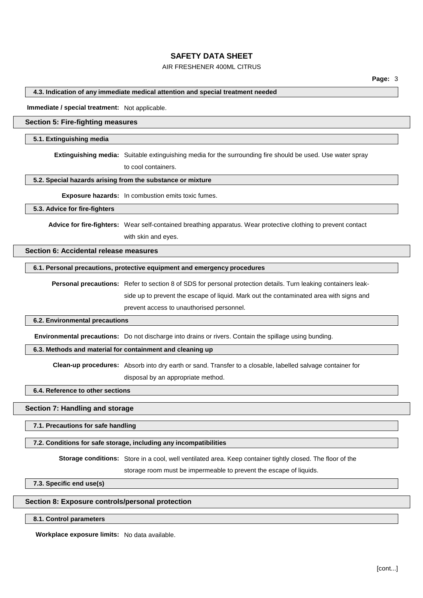## AIR FRESHENER 400ML CITRUS

#### **4.3. Indication of any immediate medical attention and special treatment needed**

**Immediate / special treatment:** Not applicable.

## **Section 5: Fire-fighting measures**

#### **5.1. Extinguishing media**

**Extinguishing media:** Suitable extinguishing media for the surrounding fire should be used. Use water spray

to cool containers.

#### **5.2. Special hazards arising from the substance or mixture**

**Exposure hazards:** In combustion emits toxic fumes.

#### **5.3. Advice for fire-fighters**

**Advice for fire-fighters:** Wear self-contained breathing apparatus. Wear protective clothing to prevent contact

with skin and eyes.

#### **Section 6: Accidental release measures**

### **6.1. Personal precautions, protective equipment and emergency procedures**

**Personal precautions:** Refer to section 8 of SDS for personal protection details. Turn leaking containers leakside up to prevent the escape of liquid. Mark out the contaminated area with signs and prevent access to unauthorised personnel.

#### **6.2. Environmental precautions**

**Environmental precautions:** Do not discharge into drains or rivers. Contain the spillage using bunding.

#### **6.3. Methods and material for containment and cleaning up**

**Clean-up procedures:** Absorb into dry earth or sand. Transfer to a closable, labelled salvage container for

disposal by an appropriate method.

## **6.4. Reference to other sections**

#### **Section 7: Handling and storage**

**7.1. Precautions for safe handling**

### **7.2. Conditions for safe storage, including any incompatibilities**

**Storage conditions:** Store in a cool, well ventilated area. Keep container tightly closed. The floor of the

storage room must be impermeable to prevent the escape of liquids.

**7.3. Specific end use(s)**

#### **Section 8: Exposure controls/personal protection**

#### **8.1. Control parameters**

**Workplace exposure limits:** No data available.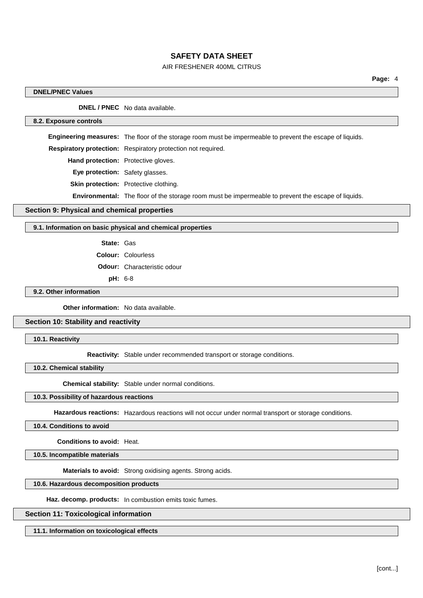## AIR FRESHENER 400ML CITRUS

### **DNEL/PNEC Values**

**DNEL / PNEC** No data available.

#### **8.2. Exposure controls**

**Engineering measures:** The floor of the storage room must be impermeable to prevent the escape of liquids.

**Respiratory protection:** Respiratory protection not required.

**Hand protection:** Protective gloves.

**Eye protection:** Safety glasses.

**Skin protection:** Protective clothing.

**Environmental:** The floor of the storage room must be impermeable to prevent the escape of liquids.

### **Section 9: Physical and chemical properties**

#### **9.1. Information on basic physical and chemical properties**

**State:** Gas

**Colour:** Colourless

**Odour:** Characteristic odour

**pH:** 6-8

## **9.2. Other information**

**Other information:** No data available.

## **Section 10: Stability and reactivity**

**10.1. Reactivity**

**Reactivity:** Stable under recommended transport or storage conditions.

**10.2. Chemical stability**

**Chemical stability:** Stable under normal conditions.

#### **10.3. Possibility of hazardous reactions**

**Hazardous reactions:** Hazardous reactions will not occur under normal transport or storage conditions.

#### **10.4. Conditions to avoid**

**Conditions to avoid:** Heat.

**10.5. Incompatible materials**

**Materials to avoid:** Strong oxidising agents. Strong acids.

### **10.6. Hazardous decomposition products**

**Haz. decomp. products:** In combustion emits toxic fumes.

### **Section 11: Toxicological information**

**11.1. Information on toxicological effects**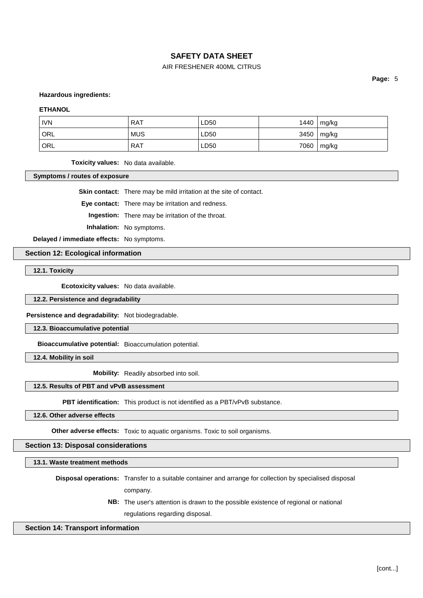## AIR FRESHENER 400ML CITRUS

**Page:** 5

**Hazardous ingredients:**

#### **ETHANOL**

| <b>IVN</b>       | <b>RAT</b> | LD50 | 1440 | mg/kg |
|------------------|------------|------|------|-------|
| <sup>I</sup> ORL | <b>MUS</b> | LD50 | 3450 | mg/kg |
| ' ORL            | RAT        | LD50 | 7060 | mg/kg |

**Toxicity values:** No data available.

**Symptoms / routes of exposure**

**Skin contact:** There may be mild irritation at the site of contact.

**Eye contact:** There may be irritation and redness.

**Ingestion:** There may be irritation of the throat.

**Inhalation:** No symptoms.

**Delayed / immediate effects:** No symptoms.

**Section 12: Ecological information**

**12.1. Toxicity**

**Ecotoxicity values:** No data available.

**12.2. Persistence and degradability**

**Persistence and degradability:** Not biodegradable.

**12.3. Bioaccumulative potential**

**Bioaccumulative potential:** Bioaccumulation potential.

**12.4. Mobility in soil**

**Mobility:** Readily absorbed into soil.

## **12.5. Results of PBT and vPvB assessment**

**PBT identification:** This product is not identified as a PBT/vPvB substance.

**12.6. Other adverse effects**

**Other adverse effects:** Toxic to aquatic organisms. Toxic to soil organisms.

**Section 13: Disposal considerations**

**13.1. Waste treatment methods**

**Disposal operations:** Transfer to a suitable container and arrange for collection by specialised disposal company.

> **NB:** The user's attention is drawn to the possible existence of regional or national regulations regarding disposal.

#### **Section 14: Transport information**